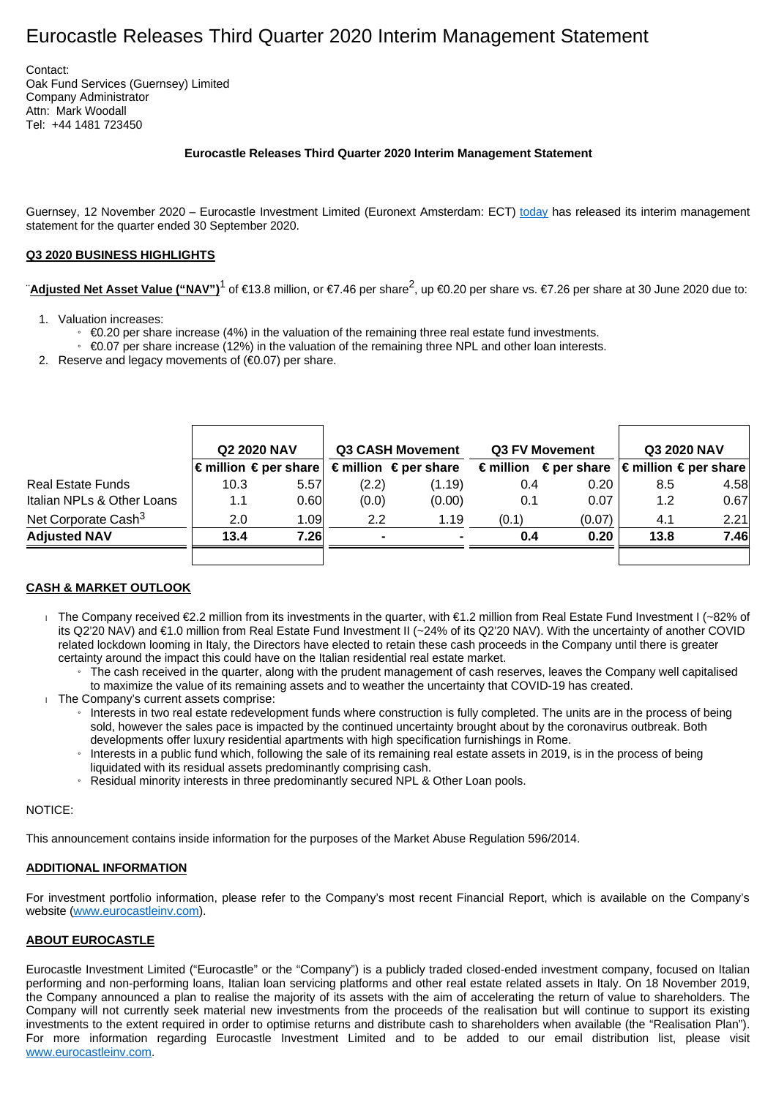# Eurocastle Releases Third Quarter 2020 Interim Management Statement

Contact: Oak Fund Services (Guernsey) Limited Company Administrator Attn: Mark Woodall Tel: +44 1481 723450

#### **Eurocastle Releases Third Quarter 2020 Interim Management Statement**

Guernsey, 12 November 2020 – Eurocastle Investment Limited (Euronext Amsterdam: ECT) [today](http://today/) has released its interim management statement for the quarter ended 30 September 2020.

#### **Q3 2020 BUSINESS HIGHLIGHTS**

"Adjusted Net Asset Value ("NAV")<sup>1</sup> of €13.8 million, or €7.46 per share<sup>2</sup>, up €0.20 per share vs. €7.26 per share at 30 June 2020 due to:

- 1. Valuation increases:
	- » €0.20 per share increase (4%) in the valuation of the remaining three real estate fund investments.

 $\oplus$  60.07 per share increase (12%) in the valuation of the remaining three NPL and other loan interests.

2. Reserve and legacy movements of  $(60.07)$  per share.

|                                 | <b>Q2 2020 NAV</b> |                                         | <b>Q3 CASH Movement</b> |                                         | Q3 FV Movement |                                                                                  | Q3 2020 NAV |      |
|---------------------------------|--------------------|-----------------------------------------|-------------------------|-----------------------------------------|----------------|----------------------------------------------------------------------------------|-------------|------|
|                                 |                    | $\epsilon$ million $\epsilon$ per share |                         | $\epsilon$ million $\epsilon$ per share |                | $\epsilon$ million $\epsilon$ per share $ \epsilon$ million $\epsilon$ per share |             |      |
| Real Estate Funds               | 10.3               | 5.57                                    | (2.2)                   | (1.19)                                  | 0.4            | 0.20                                                                             | 8.5         | 4.58 |
| Italian NPLs & Other Loans      | 1.1                | 0.60                                    | (0.0)                   | (0.00)                                  | 0.1            | 0.07                                                                             | 1.2         | 0.67 |
| Net Corporate Cash <sup>3</sup> | 2.0                | 1.09                                    | 2.2                     | 1.19                                    | (0.1)          | (0.07)                                                                           | 4.1         | 2.21 |
| <b>Adjusted NAV</b>             | 13.4               | 7.26                                    |                         |                                         | 0.4            | 0.20                                                                             | 13.8        | 7.46 |
|                                 |                    |                                         |                         |                                         |                |                                                                                  |             |      |

### **CASH & MARKET OUTLOOK**

- The Company received €2.2 million from its investments in the quarter, with €1.2 million from Real Estate Fund Investment I (~82% of its Q2'20 NAV) and €1.0 million from Real Estate Fund Investment II (~24% of its Q2'20 NAV). With the uncertainty of another COVID related lockdown looming in Italy, the Directors have elected to retain these cash proceeds in the Company until there is greater certainty around the impact this could have on the Italian residential real estate market.
	- The cash received in the quarter, along with the prudent management of cash reserves, leaves the Company well capitalised to maximize the value of its remaining assets and to weather the uncertainty that COVID-19 has created.
- The Company's current assets comprise:
	- » Interests in two real estate redevelopment funds where construction is fully completed. The units are in the process of being sold, however the sales pace is impacted by the continued uncertainty brought about by the coronavirus outbreak. Both developments offer luxury residential apartments with high specification furnishings in Rome.
	- » Interests in a public fund which, following the sale of its remaining real estate assets in 2019, is in the process of being liquidated with its residual assets predominantly comprising cash.
	- » Residual minority interests in three predominantly secured NPL & Other Loan pools.

#### NOTICE:

This announcement contains inside information for the purposes of the Market Abuse Regulation 596/2014.

## **ADDITIONAL INFORMATION**

For investment portfolio information, please refer to the Company's most recent Financial Report, which is available on the Company's website [\(www.eurocastleinv.com\)](http://www.eurocastleinv.com/).

#### **ABOUT EUROCASTLE**

Eurocastle Investment Limited ("Eurocastle" or the "Company") is a publicly traded closed-ended investment company, focused on Italian performing and non-performing loans, Italian loan servicing platforms and other real estate related assets in Italy. On 18 November 2019, the Company announced a plan to realise the majority of its assets with the aim of accelerating the return of value to shareholders. The Company will not currently seek material new investments from the proceeds of the realisation but will continue to support its existing investments to the extent required in order to optimise returns and distribute cash to shareholders when available (the "Realisation Plan"). For more information regarding Eurocastle Investment Limited and to be added to our email distribution list, please visit [www.eurocastleinv.com](http://www.eurocastleinv.com/).